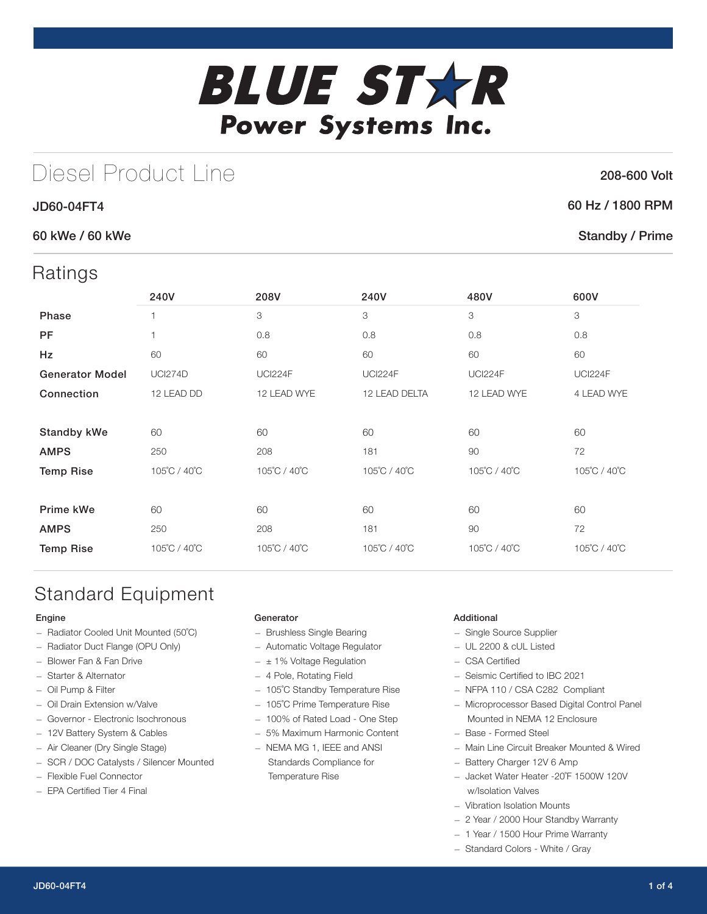# **BLUE STXR** Power Systems Inc.

## Diesel Product Line

#### JD60-04FT4

#### 60 kWe / 60 kWe

### **Ratings**

| 1011190                |                |                |                |                |                |
|------------------------|----------------|----------------|----------------|----------------|----------------|
|                        | 240V           | 208V           | 240V           | 480V           | 600V           |
| Phase                  |                | 3              | 3              | 3              | 3              |
| <b>PF</b>              |                | 0.8            | 0.8            | 0.8            | 0.8            |
| <b>Hz</b>              | 60             | 60             | 60             | 60             | 60             |
| <b>Generator Model</b> | <b>UCI274D</b> | <b>UCI224F</b> | <b>UCI224F</b> | <b>UCI224F</b> | <b>UCI224F</b> |
| Connection             | 12 LEAD DD     | 12 LEAD WYE    | 12 LEAD DELTA  | 12 LEAD WYE    | 4 LEAD WYE     |
|                        |                |                |                |                |                |
| <b>Standby kWe</b>     | 60             | 60             | 60             | 60             | 60             |
| <b>AMPS</b>            | 250            | 208            | 181            | 90             | 72             |
| <b>Temp Rise</b>       | 105°C / 40°C   | 105°C / 40°C   | 105°C / 40°C   | 105°C / 40°C   | 105°C / 40°C   |
|                        |                |                |                |                |                |
| Prime kWe              | 60             | 60             | 60             | 60             | 60             |
| <b>AMPS</b>            | 250            | 208            | 181            | 90             | 72             |
| <b>Temp Rise</b>       | 105°C / 40°C   | 105°C / 40°C   | 105°C / 40°C   | 105°C / 40°C   | 105°C / 40°C   |
|                        |                |                |                |                |                |

## Standard Equipment

#### Engine

- Radiator Cooled Unit Mounted (50˚C)
- Radiator Duct Flange (OPU Only)
- Blower Fan & Fan Drive
- Starter & Alternator
- Oil Pump & Filter
- Oil Drain Extension w/Valve
- Governor Electronic Isochronous
- 12V Battery System & Cables
- Air Cleaner (Dry Single Stage)
- SCR / DOC Catalysts / Silencer Mounted
- Flexible Fuel Connector
- EPA Certified Tier 4 Final

#### **Generator**

- Brushless Single Bearing
- Automatic Voltage Regulator
- $\pm$  1% Voltage Regulation
- 4 Pole, Rotating Field
- 105˚C Standby Temperature Rise
- 105˚C Prime Temperature Rise
- 100% of Rated Load One Step
- 5% Maximum Harmonic Content
- NEMA MG 1, IEEE and ANSI Standards Compliance for Temperature Rise

#### Additional

- Single Source Supplier
- UL 2200 & cUL Listed
- CSA Certified
- Seismic Certified to IBC 2021
- NFPA 110 / CSA C282 Compliant
- Microprocessor Based Digital Control Panel Mounted in NEMA 12 Enclosure
- Base Formed Steel
- Main Line Circuit Breaker Mounted & Wired
- Battery Charger 12V 6 Amp
- Jacket Water Heater -20˚F 1500W 120V w/Isolation Valves
- Vibration Isolation Mounts
- 2 Year / 2000 Hour Standby Warranty
- 1 Year / 1500 Hour Prime Warranty
- Standard Colors White / Gray

208-600 Volt

#### 60 Hz / 1800 RPM

#### Standby / Prime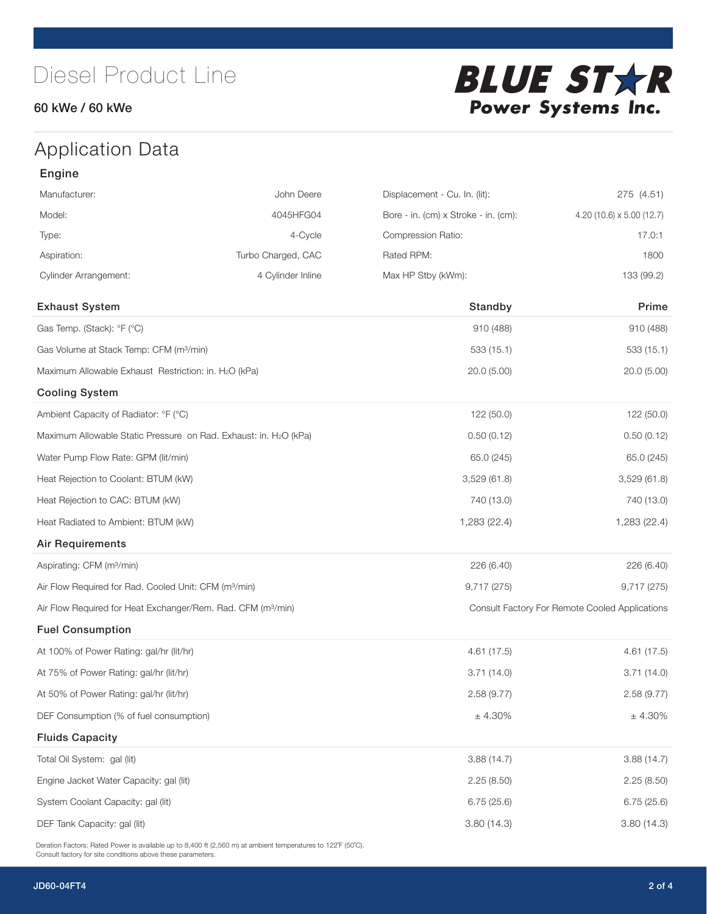#### 60 kWe / 60 kWe



## Application Data

| Engine                                                                   |                    |                                      |                                                |
|--------------------------------------------------------------------------|--------------------|--------------------------------------|------------------------------------------------|
| Manufacturer:                                                            | John Deere         | Displacement - Cu. In. (lit):        | 275 (4.51)                                     |
| Model:                                                                   | 4045HFG04          | Bore - in. (cm) x Stroke - in. (cm): | 4.20 (10.6) $\times$ 5.00 (12.7)               |
| Type:                                                                    | 4-Cycle            | Compression Ratio:                   | 17.0:1                                         |
| Aspiration:                                                              | Turbo Charged, CAC | Rated RPM:                           | 1800                                           |
| <b>Cylinder Arrangement:</b>                                             | 4 Cylinder Inline  | Max HP Stby (kWm):                   | 133 (99.2)                                     |
| <b>Exhaust System</b>                                                    |                    | Standby                              | Prime                                          |
| Gas Temp. (Stack): °F (°C)                                               |                    | 910 (488)                            | 910 (488)                                      |
| Gas Volume at Stack Temp: CFM (m <sup>3</sup> /min)                      |                    | 533 (15.1)                           | 533 (15.1)                                     |
| Maximum Allowable Exhaust Restriction: in. H2O (kPa)                     |                    | 20.0(5.00)                           | 20.0(5.00)                                     |
| <b>Cooling System</b>                                                    |                    |                                      |                                                |
| Ambient Capacity of Radiator: °F (°C)                                    |                    | 122 (50.0)                           | 122 (50.0)                                     |
| Maximum Allowable Static Pressure on Rad. Exhaust: in. H2O (kPa)         |                    | 0.50(0.12)                           | 0.50(0.12)                                     |
| Water Pump Flow Rate: GPM (lit/min)                                      |                    | 65.0 (245)                           | 65.0 (245)                                     |
| Heat Rejection to Coolant: BTUM (kW)                                     |                    | 3,529(61.8)                          | 3,529(61.8)                                    |
| Heat Rejection to CAC: BTUM (kW)                                         |                    | 740 (13.0)                           | 740 (13.0)                                     |
| Heat Radiated to Ambient: BTUM (kW)                                      |                    | 1,283 (22.4)                         | 1,283 (22.4)                                   |
| <b>Air Requirements</b>                                                  |                    |                                      |                                                |
| Aspirating: CFM (m <sup>3</sup> /min)                                    |                    | 226 (6.40)                           | 226 (6.40)                                     |
| Air Flow Required for Rad. Cooled Unit: CFM (m <sup>3</sup> /min)        |                    | 9,717(275)                           | 9,717 (275)                                    |
| Air Flow Required for Heat Exchanger/Rem. Rad. CFM (m <sup>3</sup> /min) |                    |                                      | Consult Factory For Remote Cooled Applications |
| <b>Fuel Consumption</b>                                                  |                    |                                      |                                                |
| At 100% of Power Rating: gal/hr (lit/hr)                                 |                    | 4.61(17.5)                           | 4.61(17.5)                                     |
| At 75% of Power Rating: gal/hr (lit/hr)                                  |                    | 3.71(14.0)                           | 3.71(14.0)                                     |
| At 50% of Power Rating: gal/hr (lit/hr)                                  |                    | 2.58(9.77)                           | 2.58 (9.77)                                    |
| DEF Consumption (% of fuel consumption)                                  |                    | $\pm$ 4.30%                          | ± 4.30%                                        |
| <b>Fluids Capacity</b>                                                   |                    |                                      |                                                |
| Total Oil System: gal (lit)                                              |                    | 3.88(14.7)                           | 3.88(14.7)                                     |
| Engine Jacket Water Capacity: gal (lit)                                  |                    | 2.25(8.50)                           | 2.25(8.50)                                     |
| System Coolant Capacity: gal (lit)                                       |                    | 6.75(25.6)                           | 6.75(25.6)                                     |
| DEF Tank Capacity: gal (lit)                                             |                    | 3.80(14.3)                           | 3.80(14.3)                                     |

Deration Factors: Rated Power is available up to 8,400 ft (2,560 m) at ambient temperatures to 122˚F (50˚C). Consult factory for site conditions above these parameters.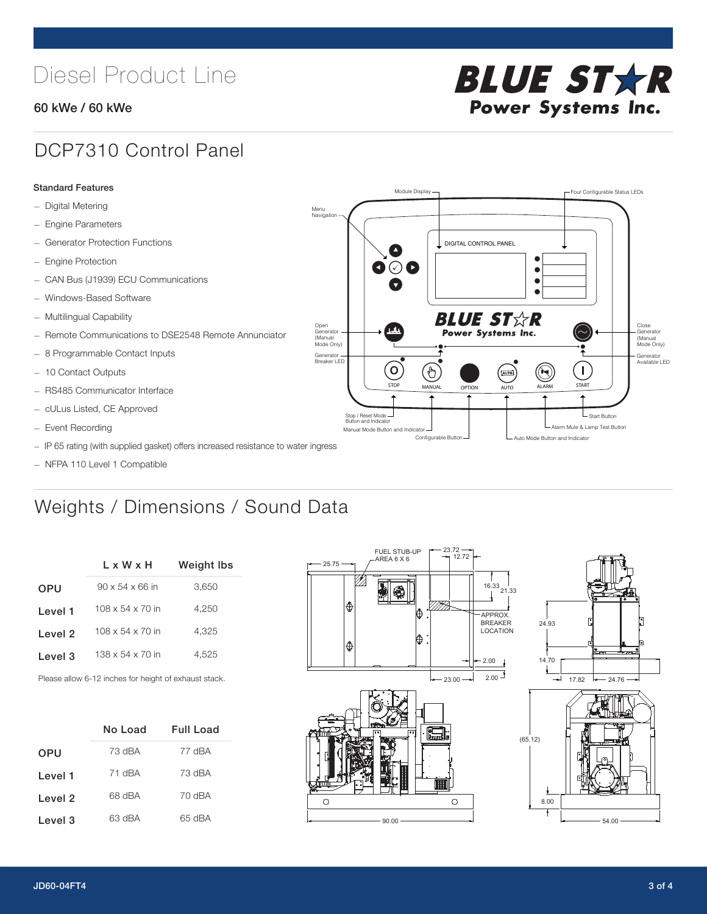## Diesel Product Line

#### 60 kWe / 60 kWe



### DCP7310 Control Panel

#### Standard Features

- Digital Metering
- Engine Parameters
- Generator Protection Functions
- Engine Protection
- CAN Bus (J1939) ECU Communications
- Windows-Based Software
- Multilingual Capability
- Remote Communications to DSE2548 Remote Annunciator
- 8 Programmable Contact Inputs
- 10 Contact Outputs
- RS485 Communicator Interface
- cULus Listed, CE Approved
- Event Recording
- IP 65 rating (with supplied gasket) offers increased resistance to water ingress
- NFPA 110 Level 1 Compatible

## Weights / Dimensions / Sound Data

|            | L x W x H                    | <b>Weight Ibs</b> |  |  |
|------------|------------------------------|-------------------|--|--|
| <b>OPU</b> | $90 \times 54 \times 66$ in  | 3,650             |  |  |
| Level 1    | $108 \times 54 \times 70$ in | 4.250             |  |  |
| Level 2    | $108 \times 54 \times 70$ in | 4,325             |  |  |
| Level 3    | $138 \times 54 \times 70$ in | 4.525             |  |  |
|            |                              |                   |  |  |

Please allow 6-12 inches for height of exhaust stack.

|            | No Load | <b>Full Load</b> |
|------------|---------|------------------|
| <b>OPU</b> | 73 dBA  | 77 dBA           |
| Level 1    | 71 dBA  | 73 dBA           |
| Level 2    | 68 dBA  | 70 dBA           |
| Level 3    | 63 dBA  | 65 dBA           |



STOP MANUAL OPTION AUTO ALARM START

[AUTO]

**BLUE STAR** Power Systems Inc.

Manual Mode Button and Indicator Nutricus Council Council Council Council Alarm Mute & Lamp Test Button Manual Mode Button and Indicator Configurable Button -  $\Box$  Auto Mode Button and Indicator

DIGITAL CONTROL PANEL

Module Display  $\Box$ 

 $\bullet$  $\bullet$  $\bullet$ 

 $\circledcirc$ 

Menu Navigation

Open Generator (Manual Mode Only)

Generator Breaker LED

Stop / Reset Mode Button and Indicator

 $\bullet$   $\circ$   $\bullet$ 

 $\sigma$ 

՟Պ



- Start Button

 $\blacksquare$ 

Close Generator (Manual Mode Only)

Generator Available LED